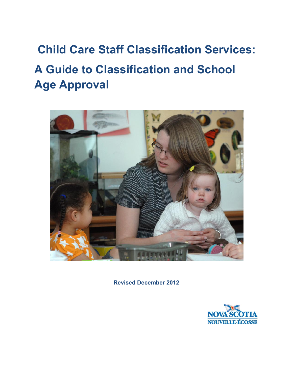# **Child Care Staff Classification Services: A Guide to Classification and School Age Approval**



**Revised December 2012** 

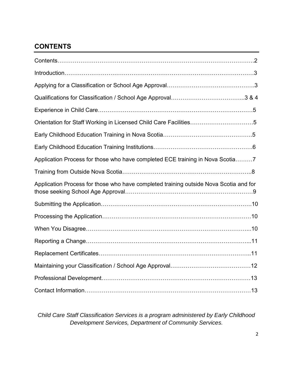# **CONTENTS**

| Orientation for Staff Working in Licensed Child Care Facilities5                      |  |
|---------------------------------------------------------------------------------------|--|
|                                                                                       |  |
|                                                                                       |  |
| Application Process for those who have completed ECE training in Nova Scotia7         |  |
|                                                                                       |  |
| Application Process for those who have completed training outside Nova Scotia and for |  |
|                                                                                       |  |
|                                                                                       |  |
|                                                                                       |  |
|                                                                                       |  |
|                                                                                       |  |
|                                                                                       |  |
|                                                                                       |  |
|                                                                                       |  |

*Child Care Staff Classification Services is a program administered by Early Childhood Development Services, Department of Community Services.*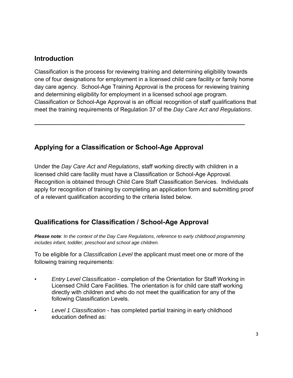## **Introduction**

Classification is the process for reviewing training and determining eligibility towards one of four designations for employment in a licensed child care facility or family home day care agency. School-Age Training Approval is the process for reviewing training and determining eligibility for employment in a licensed school age program. Classification or School-Age Approval is an official recognition of staff qualifications that meet the training requirements of Regulation 37 of the *Day Care Act and Regulations*.

**\_\_\_\_\_\_\_\_\_\_\_\_\_\_\_\_\_\_\_\_\_\_\_\_\_\_\_\_\_\_\_\_\_\_\_\_\_\_\_\_\_\_\_\_\_\_\_\_\_\_\_\_\_\_\_\_\_\_\_\_\_\_\_\_\_\_** 

## **Applying for a Classification or School-Age Approval**

Under the *Day Care Act and Regulations*, staff working directly with children in a licensed child care facility must have a Classification or School-Age Approval. Recognition is obtained through Child Care Staff Classification Services. Individuals apply for recognition of training by completing an application form and submitting proof of a relevant qualification according to the criteria listed below.

## **Qualifications for Classification / School-Age Approval**

*Please note: In the context of the Day Care Regulations, reference to early childhood programming includes infant, toddler, preschool and school age children.* 

To be eligible for a *Classification Level* the applicant must meet one or more of the following training requirements:

- *Entry Level Classification* completion of the Orientation for Staff Working in Licensed Child Care Facilities. The orientation is for child care staff working directly with children and who do not meet the qualification for any of the following Classification Levels.
- *Level 1 Classification* has completed partial training in early childhood education defined as: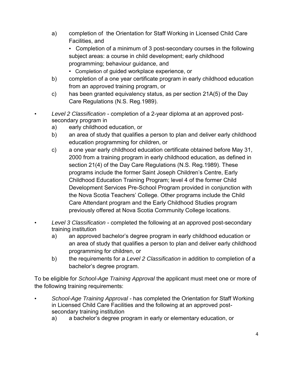a) completion of the Orientation for Staff Working in Licensed Child Care Facilities, and

• Completion of a minimum of 3 post-secondary courses in the following subject areas: a course in child development; early childhood programming; behaviour guidance, and

- Completion of guided workplace experience, or
- b) completion of a one year certificate program in early childhood education from an approved training program, or
- c) has been granted equivalency status, as per section 21A(5) of the Day Care Regulations (N.S. Reg.1989).
- *Level 2 Classification*  completion of a 2-year diploma at an approved postsecondary program in
	- a) early childhood education, or
	- b) an area of study that qualifies a person to plan and deliver early childhood education programming for children, or
	- c) a one year early childhood education certificate obtained before May 31, 2000 from a training program in early childhood education, as defined in section 21(4) of the Day Care Regulations (N.S. Reg.1989). These programs include the former Saint Joseph Children's Centre, Early Childhood Education Training Program; level 4 of the former Child Development Services Pre-School Program provided in conjunction with the Nova Scotia Teachers' College. Other programs include the Child Care Attendant program and the Early Childhood Studies program previously offered at Nova Scotia Community College locations.
- *Level 3 Classification*  completed the following at an approved post-secondary training institution
	- a) an approved bachelor's degree program in early childhood education or an area of study that qualifies a person to plan and deliver early childhood programming for children, or
	- b) the requirements for a *Level 2 Classification* in addition to completion of a bachelor's degree program.

To be eligible for *School-Age Training Approval* the applicant must meet one or more of the following training requirements:

- *School-Age Training Approval*  has completed the Orientation for Staff Working in Licensed Child Care Facilities and the following at an approved postsecondary training institution
	- a) a bachelor's degree program in early or elementary education, or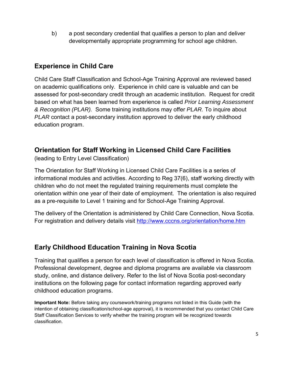b) a post secondary credential that qualifies a person to plan and deliver developmentally appropriate programming for school age children.

## **Experience in Child Care**

Child Care Staff Classification and School-Age Training Approval are reviewed based on academic qualifications only. Experience in child care is valuable and can be assessed for post-secondary credit through an academic institution. Request for credit based on what has been learned from experience is called *Prior Learning Assessment & Recognition (PLAR).* Some training institutions may offer *PLAR.* To inquire about *PLAR* contact a post-secondary institution approved to deliver the early childhood education program.

## **Orientation for Staff Working in Licensed Child Care Facilities**

(leading to Entry Level Classification)

The Orientation for Staff Working in Licensed Child Care Facilities is a series of informational modules and activities. According to Reg 37(6), staff working directly with children who do not meet the regulated training requirements must complete the orientation within one year of their date of employment. The orientation is also required as a pre-requisite to Level 1 training and for School-Age Training Approval.

The delivery of the Orientation is administered by Child Care Connection, Nova Scotia. For registration and delivery details visit<http://www.cccns.org/orientation/home.htm>

## **Early Childhood Education Training in Nova Scotia**

Training that qualifies a person for each level of classification is offered in Nova Scotia. Professional development, degree and diploma programs are available via classroom study, online, and distance delivery. Refer to the list of Nova Scotia post-secondary institutions on the following page for contact information regarding approved early childhood education programs.

**Important Note:** Before taking any coursework/training programs not listed in this Guide (with the intention of obtaining classification/school-age approval), it is recommended that you contact Child Care Staff Classification Services to verify whether the training program will be recognized towards classification.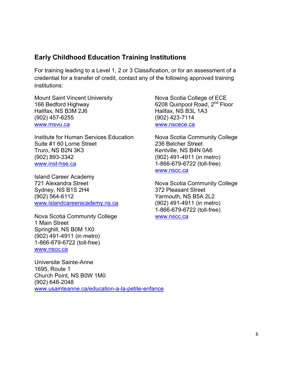## **Early Childhood Education Training Institutions**

For training leading to a Level 1, 2 or 3 Classification, or for an assessment of a credential for a transfer of credit, contact any of the following approved training institutions:

Mount Saint Vincent University Nova Scotia College of ECE 166 Bedford Highway 6208 Quinpool Road, 2<sup>nd</sup> Floor Halifax, NS B3M 2J6 Halifax, NS B3L 1A3 (902) 457-6255 (902) 423-7114 [www.msvu.ca](http://www.msvu.ca/) www.nscece.ca

Institute for Human Services Education Nova Scotia Community College Suite #1 60 Lorne Street 236 Belcher Street Truro, NS B2N 3K3 Kentville, NS B4N 0A6 (902) 893-3342 (902) 491-4911 (in metro) [www.inst-hse.ca](http://www.inst-hse.ca/) 1-866-679-6722 (toll-free)

Island Career Academy 721 Alexandra Street Nova Scotia Community College Sydney, NS B1S 2H4 372 Pleasant Street (902) 564-6112 Yarmouth, NS B5A 2L2 [www.islandcareeracademy.ns.ca](http://www.islandcareeracademy.ns.ca/) (902) 491-4911 (in metro)

Nova Scotia Community College www.nscc.ca 1 Main Street Springhill, NS B0M 1X0 (902) 491-4911 (in metro) 1-866-679-6722 (toll-free) [www.nscc.ca](http://www.nscc.ca/) 

Universite Sainte-Anne 1695, Route 1 Church Point, NS B0W 1M0 (902) 648-2048 [www.usainteanne.ca/education-a-la-petite-enfance](http://www.usainteanne.ca/education-a-la-petite-enfance) 

www.nscc.ca

1-866-679-6722 (toll-free)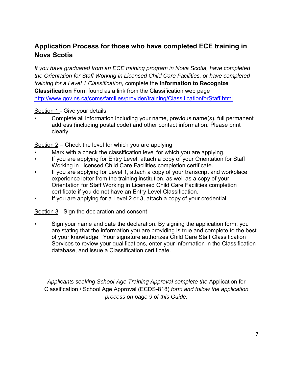# **Application Process for those who have completed ECE training in Nova Scotia**

*If you have graduated from an ECE training program in Nova Scotia, have completed the Orientation for Staff Working in Licensed Child Care Facilities, or have completed training for a Level 1 Classification,* complete the **Information to Recognize Classification** Form found as a link from the Classification web page <http://www.gov.ns.ca/coms/families/provider/training/ClassificationforStaff.html>

#### Section 1 - Give your details

• Complete all information including your name, previous name(s), full permanent address (including postal code) and other contact information. Please print clearly.

Section 2 – Check the level for which you are applying

- Mark with a check the classification level for which you are applying.
- If you are applying for Entry Level, attach a copy of your Orientation for Staff Working in Licensed Child Care Facilities completion certificate.
- If you are applying for Level 1, attach a copy of your transcript and workplace experience letter from the training institution, as well as a copy of your Orientation for Staff Working in Licensed Child Care Facilities completion certificate if you do not have an Entry Level Classification.
- If you are applying for a Level 2 or 3, attach a copy of your credential.

Section 3 - Sign the declaration and consent

• Sign your name and date the declaration. By signing the application form, you are stating that the information you are providing is true and complete to the best of your knowledge. Your signature authorizes Child Care Staff Classification Services to review your qualifications, enter your information in the Classification database, and issue a Classification certificate.

*Applicants seeking School-Age Training Approval complete the* Application for Classification / School Age Approval (ECDS-818) *form and follow the application process on page 9 of this Guide.*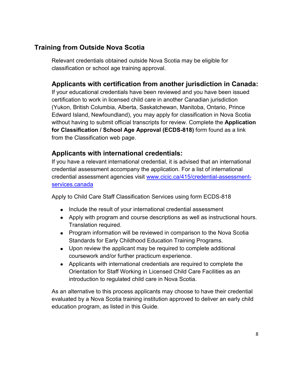## **Training from Outside Nova Scotia**

Relevant credentials obtained outside Nova Scotia may be eligible for classification or school age training approval.

## **Applicants with certification from another jurisdiction in Canada:**

If your educational credentials have been reviewed and you have been issued certification to work in licensed child care in another Canadian jurisdiction (Yukon, British Columbia, Alberta, Saskatchewan, Manitoba, Ontario, Prince Edward Island, Newfoundland), you may apply for classification in Nova Scotia without having to submit official transcripts for review. Complete the **Application for Classification / School Age Approval (ECDS-818)** form found as a link from the Classification web page.

### **Applicants with international credentials:**

If you have a relevant international credential, it is advised that an international credential assessment accompany the application. For a list of international credential assessment agencies visit [www.cicic.ca/415/credential-assessment](http://www.cicic.ca/415/credential-assessment-services.canada)[services.canada](http://www.cicic.ca/415/credential-assessment-services.canada) 

Apply to Child Care Staff Classification Services using form ECDS-818

- Include the result of your international credential assessment
- Apply with program and course descriptions as well as instructional hours. Translation required.
- Program information will be reviewed in comparison to the Nova Scotia Standards for Early Childhood Education Training Programs.
- Upon review the applicant may be required to complete additional coursework and/or further practicum experience.
- Applicants with international credentials are required to complete the Orientation for Staff Working in Licensed Child Care Facilities as an introduction to regulated child care in Nova Scotia.

As an alternative to this process applicants may choose to have their credential evaluated by a Nova Scotia training institution approved to deliver an early child education program, as listed in this Guide.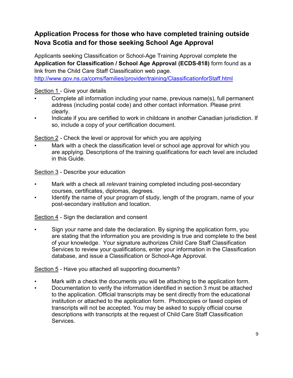# **Application Process for those who have completed training outside Nova Scotia and for those seeking School Age Approval**

Applicants seeking Classification or School-Age Training Approval complete the **Application for Classification / School Age Approval (ECDS-818)** form found as a link from the Child Care Staff Classification web page.

<http://www.gov.ns.ca/coms/families/provider/training/ClassificationforStaff.html>

#### Section 1 - Give your details

- Complete all information including your name, previous name(s), full permanent address (including postal code) and other contact information. Please print clearly.
- Indicate if you are certified to work in childcare in another Canadian jurisdiction. If so, include a copy of your certification document.

Section 2 - Check the level or approval for which you are applying

• Mark with a check the classification level or school age approval for which you are applying. Descriptions of the training qualifications for each level are included in this Guide.

#### Section 3 - Describe your education

- Mark with a check all *relevant* training completed including post-secondary courses, certificates, diplomas, degrees.
- Identify the name of your program of study, length of the program, name of your post-secondary institution and location.

Section 4 - Sign the declaration and consent

• Sign your name and date the declaration. By signing the application form, you are stating that the information you are providing is true and complete to the best of your knowledge. Your signature authorizes Child Care Staff Classification Services to review your qualifications, enter your information in the Classification database, and issue a Classification or School-Age Approval.

#### Section 5 - Have you attached all supporting documents?

- Mark with a check the documents you will be attaching to the application form.
- Documentation to verify the information identified in section 3 must be attached to the application. Official transcripts may be sent directly from the educational institution or attached to the application form. Photocopies or faxed copies of transcripts will not be accepted. You may be asked to supply official course descriptions with transcripts at the request of Child Care Staff Classification Services.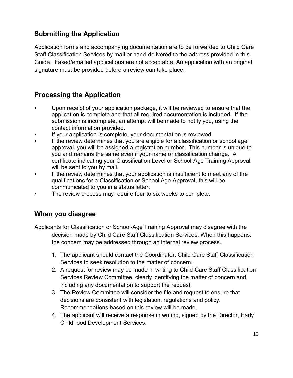# **Submitting the Application**

Application forms and accompanying documentation are to be forwarded to Child Care Staff Classification Services by mail or hand-delivered to the address provided in this Guide. Faxed/emailed applications are not acceptable. An application with an original signature must be provided before a review can take place.

## **Processing the Application**

- Upon receipt of your application package, it will be reviewed to ensure that the application is complete and that all required documentation is included. If the submission is incomplete, an attempt will be made to notify you, using the contact information provided.
- If your application is complete, your documentation is reviewed.
- If the review determines that you are eligible for a classification or school age approval, you will be assigned a registration number. This number is unique to you and remains the same even if your name or classification change. A certificate indicating your Classification Level or School-Age Training Approval will be sent to you by mail.
- If the review determines that your application is insufficient to meet any of the qualifications for a Classification or School Age Approval, this will be communicated to you in a status letter.
- The review process may require four to six weeks to complete.

## **When you disagree**

Applicants for Classification or School-Age Training Approval may disagree with the decision made by Child Care Staff Classification Services. When this happens, the concern may be addressed through an internal review process.

- 1. The applicant should contact the Coordinator, Child Care Staff Classification Services to seek resolution to the matter of concern.
- 2. A request for review may be made in writing to Child Care Staff Classification Services Review Committee, clearly identifying the matter of concern and including any documentation to support the request.
- 3. The Review Committee will consider the file and request to ensure that decisions are consistent with legislation, regulations and policy. Recommendations based on this review will be made.
- 4. The applicant will receive a response in writing, signed by the Director, Early Childhood Development Services.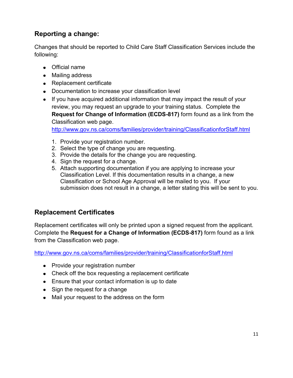# **Reporting a change:**

Changes that should be reported to Child Care Staff Classification Services include the following:

- Official name
- Mailing address
- Replacement certificate
- Documentation to increase your classification level
- If you have acquired additional information that may impact the result of your review, you may request an upgrade to your training status. Complete the **Request for Change of Information (ECDS-817)** form found as a link from the Classification web page.

<http://www.gov.ns.ca/coms/families/provider/training/ClassificationforStaff.html>

- 1. Provide your registration number.
- 2. Select the type of change you are requesting.
- 3. Provide the details for the change you are requesting.
- 4. Sign the request for a change.
- 5. Attach supporting documentation if you are applying to increase your Classification Level. If this documentation results in a change, a new Classification or School Age Approval will be mailed to you. If your submission does not result in a change, a letter stating this will be sent to you.

## **Replacement Certificates**

Replacement certificates will only be printed upon a signed request from the applicant. Complete the **Request for a Change of Information (ECDS-817)** form found as a link from the Classification web page.

<http://www.gov.ns.ca/coms/families/provider/training/ClassificationforStaff.html>

- Provide your registration number
- Check off the box requesting a replacement certificate
- Ensure that your contact information is up to date
- Sign the request for a change
- Mail your request to the address on the form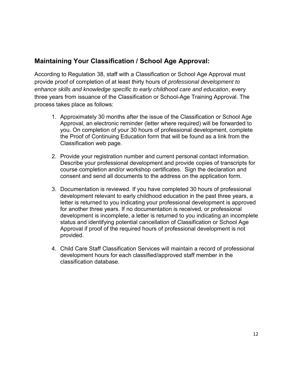## **Maintaining Your Classification / School Age Approval:**

According to Regulation 38, staff with a Classification or School Age Approval must provide proof of completion of at least thirty hours of *professional development to enhance skills and knowledge specific to early childhood care and education*, every three years from issuance of the Classification or School-Age Training Approval. The process takes place as follows:

- 1. Approximately 30 months after the issue of the Classification or School Age Approval, an electronic reminder (letter where required) will be forwarded to you. On completion of your 30 hours of professional development, complete the Proof of Continuing Education form that will be found as a link from the Classification web page.
- 2. Provide your registration number and current personal contact information. Describe your professional development and provide copies of transcripts for course completion and/or workshop certificates. Sign the declaration and consent and send all documents to the address on the application form.
- 3. Documentation is reviewed. If you have completed 30 hours of professional development relevant to early childhood education in the past three years, a letter is returned to you indicating your professional development is approved for another three years. If no documentation is received, or professional development is incomplete, a letter is returned to you indicating an incomplete status and identifying potential cancellation of Classification or School Age Approval if proof of the required hours of professional development is not provided.
- 4. Child Care Staff Classification Services will maintain a record of professional development hours for each classified/approved staff member in the classification database.